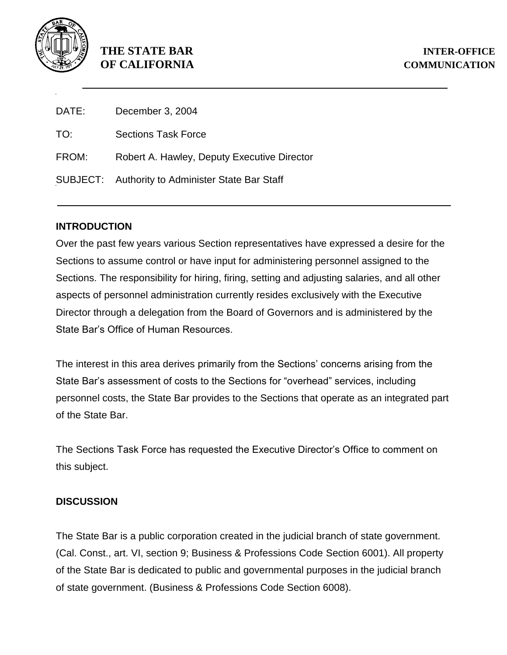

## **THE STATE BAR INTER-OFFICE OF CALIFORNIA COMMUNICATION**

| DATE: | December 3, 2004                                 |
|-------|--------------------------------------------------|
| TO:   | <b>Sections Task Force</b>                       |
| FROM: | Robert A. Hawley, Deputy Executive Director      |
|       | SUBJECT: Authority to Administer State Bar Staff |

## **INTRODUCTION**

Over the past few years various Section representatives have expressed a desire for the Sections to assume control or have input for administering personnel assigned to the Sections. The responsibility for hiring, firing, setting and adjusting salaries, and all other aspects of personnel administration currently resides exclusively with the Executive Director through a delegation from the Board of Governors and is administered by the State Bar's Office of Human Resources.

The interest in this area derives primarily from the Sections' concerns arising from the State Bar's assessment of costs to the Sections for "overhead" services, including personnel costs, the State Bar provides to the Sections that operate as an integrated part of the State Bar.

The Sections Task Force has requested the Executive Director's Office to comment on this subject.

## **DISCUSSION**

The State Bar is a public corporation created in the judicial branch of state government. (Cal. Const., art. VI, section 9; Business & Professions Code Section 6001). All property of the State Bar is dedicated to public and governmental purposes in the judicial branch of state government. (Business & Professions Code Section 6008).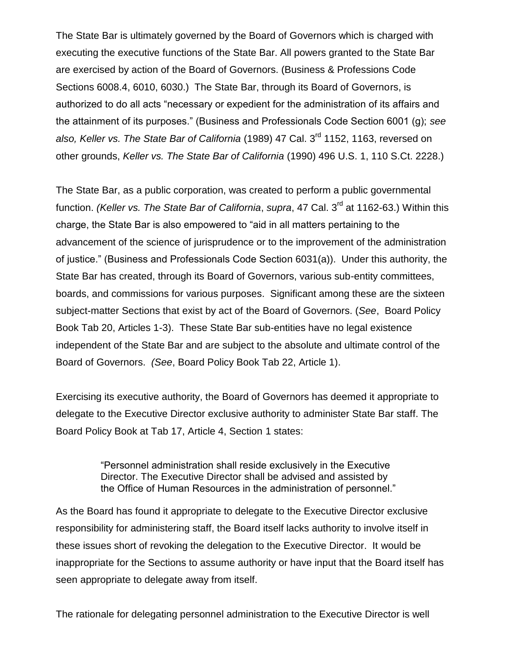The State Bar is ultimately governed by the Board of Governors which is charged with executing the executive functions of the State Bar. All powers granted to the State Bar are exercised by action of the Board of Governors. (Business & Professions Code Sections 6008.4, 6010, 6030.) The State Bar, through its Board of Governors, is authorized to do all acts "necessary or expedient for the administration of its affairs and the attainment of its purposes." (Business and Professionals Code Section 6001 (g); *see also, Keller vs. The State Bar of California* (1989) 47 Cal. 3rd 1152, 1163, reversed on other grounds, *Keller vs. The State Bar of California* (1990) 496 U.S. 1, 110 S.Ct. 2228.)

The State Bar, as a public corporation, was created to perform a public governmental function. *(Keller vs. The State Bar of California, supra, 47 Cal. 3<sup>rd</sup> at 1162-63.) Within this* charge, the State Bar is also empowered to "aid in all matters pertaining to the advancement of the science of jurisprudence or to the improvement of the administration of justice." (Business and Professionals Code Section 6031(a)). Under this authority, the State Bar has created, through its Board of Governors, various sub-entity committees, boards, and commissions for various purposes. Significant among these are the sixteen subject-matter Sections that exist by act of the Board of Governors. (*See*, Board Policy Book Tab 20, Articles 1-3). These State Bar sub-entities have no legal existence independent of the State Bar and are subject to the absolute and ultimate control of the Board of Governors. *(See*, Board Policy Book Tab 22, Article 1).

Exercising its executive authority, the Board of Governors has deemed it appropriate to delegate to the Executive Director exclusive authority to administer State Bar staff. The Board Policy Book at Tab 17, Article 4, Section 1 states:

> "Personnel administration shall reside exclusively in the Executive Director. The Executive Director shall be advised and assisted by the Office of Human Resources in the administration of personnel."

As the Board has found it appropriate to delegate to the Executive Director exclusive responsibility for administering staff, the Board itself lacks authority to involve itself in these issues short of revoking the delegation to the Executive Director. It would be inappropriate for the Sections to assume authority or have input that the Board itself has seen appropriate to delegate away from itself.

The rationale for delegating personnel administration to the Executive Director is well